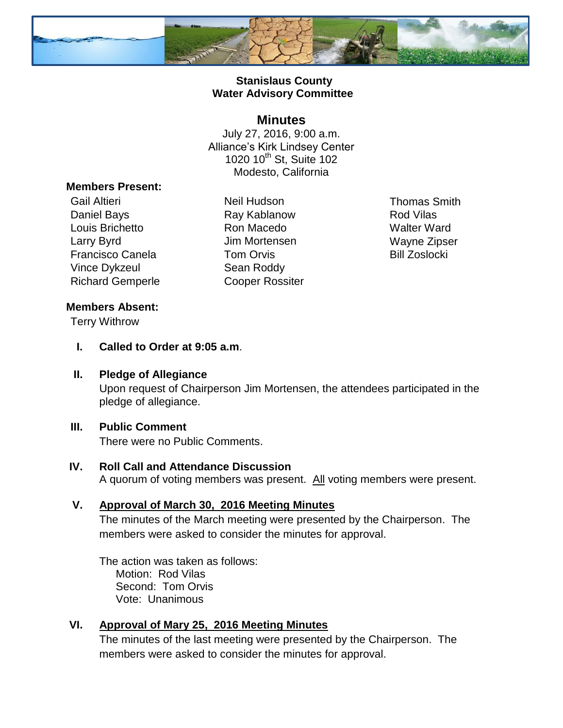

#### **Stanislaus County Water Advisory Committee**

#### **Minutes**

July 27, 2016, 9:00 a.m. Alliance's Kirk Lindsey Center 1020 10<sup>th</sup> St, Suite 102 Modesto, California

#### **Members Present:**

Gail Altieri **Neil Hudson** Neil Hudson Thomas Smith Daniel Bays **Ray Kablanow** Ray Kablanow Rod Vilas Louis Brichetto **Ron Macedo** Walter Ward Larry Byrd **Contract Contract Contract Contract Contract Contract Contract Contract Contract Contract Contract Contract Contract Contract Contract Contract Contract Contract Contract Contract Contract Contract Contract Con** Francisco Canela **Tom Orvis Example 2** Bill Zoslocki Vince Dykzeul Sean Roddy Richard Gemperle Cooper Rossiter

# **Members Absent:**

Terry Withrow

**I. Called to Order at 9:05 a.m**.

#### **II. Pledge of Allegiance**

Upon request of Chairperson Jim Mortensen, the attendees participated in the pledge of allegiance.

#### **III. Public Comment**

There were no Public Comments.

## **IV. Roll Call and Attendance Discussion**

A quorum of voting members was present. All voting members were present.

#### **V. Approval of March 30, 2016 Meeting Minutes**

The minutes of the March meeting were presented by the Chairperson. The members were asked to consider the minutes for approval.

The action was taken as follows: Motion: Rod Vilas Second: Tom Orvis Vote: Unanimous

#### **VI. Approval of Mary 25, 2016 Meeting Minutes**

The minutes of the last meeting were presented by the Chairperson. The members were asked to consider the minutes for approval.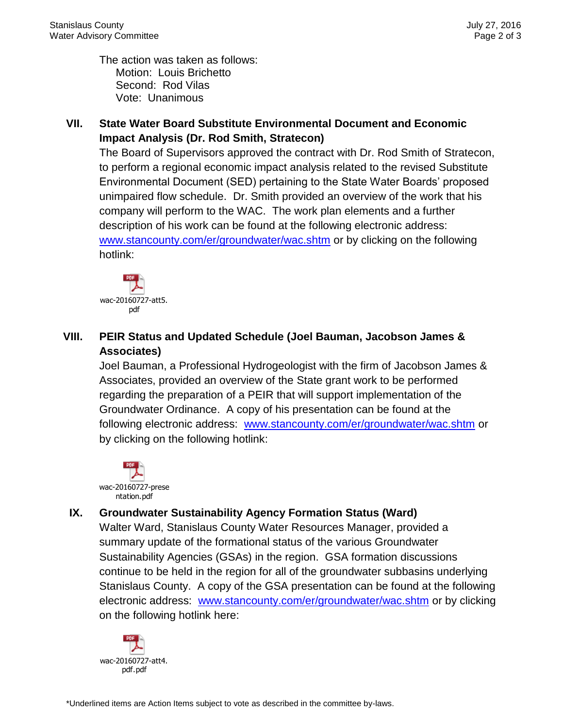The action was taken as follows: Motion: Louis Brichetto Second: Rod Vilas Vote: Unanimous

### **VII. State Water Board Substitute Environmental Document and Economic Impact Analysis (Dr. Rod Smith, Stratecon)**

The Board of Supervisors approved the contract with Dr. Rod Smith of Stratecon, to perform a regional economic impact analysis related to the revised Substitute Environmental Document (SED) pertaining to the State Water Boards' proposed unimpaired flow schedule. Dr. Smith provided an overview of the work that his company will perform to the WAC. The work plan elements and a further description of his work can be found at the following electronic address: [www.stancounty.com/er/groundwater/wac.shtm](http://www.stancounty.com/er/groundwater/wac.shtm) or by clicking on the following hotlink:



## **VIII. PEIR Status and Updated Schedule (Joel Bauman, Jacobson James & Associates)**

Joel Bauman, a Professional Hydrogeologist with the firm of Jacobson James & Associates, provided an overview of the State grant work to be performed regarding the preparation of a PEIR that will support implementation of the Groundwater Ordinance. A copy of his presentation can be found at the following electronic address: [www.stancounty.com/er/groundwater/wac.shtm](http://www.stancounty.com/er/groundwater/wac.shtm) or by clicking on the following hotlink:



## **IX. Groundwater Sustainability Agency Formation Status (Ward)**

Walter Ward, Stanislaus County Water Resources Manager, provided a summary update of the formational status of the various Groundwater Sustainability Agencies (GSAs) in the region. GSA formation discussions continue to be held in the region for all of the groundwater subbasins underlying Stanislaus County. A copy of the GSA presentation can be found at the following electronic address: [www.stancounty.com/er/groundwater/wac.shtm](http://www.stancounty.com/er/groundwater/wac.shtm) or by clicking on the following hotlink here:

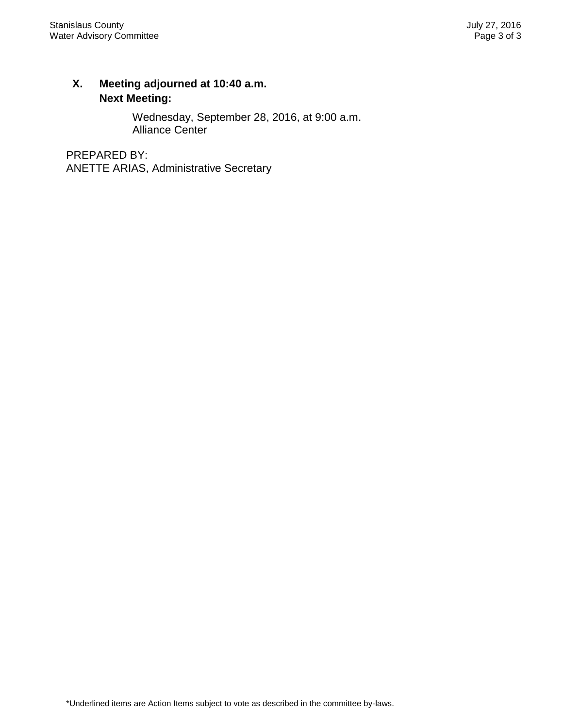## **X. Meeting adjourned at 10:40 a.m. Next Meeting:**

Wednesday, September 28, 2016, at 9:00 a.m. Alliance Center

PREPARED BY: ANETTE ARIAS, Administrative Secretary